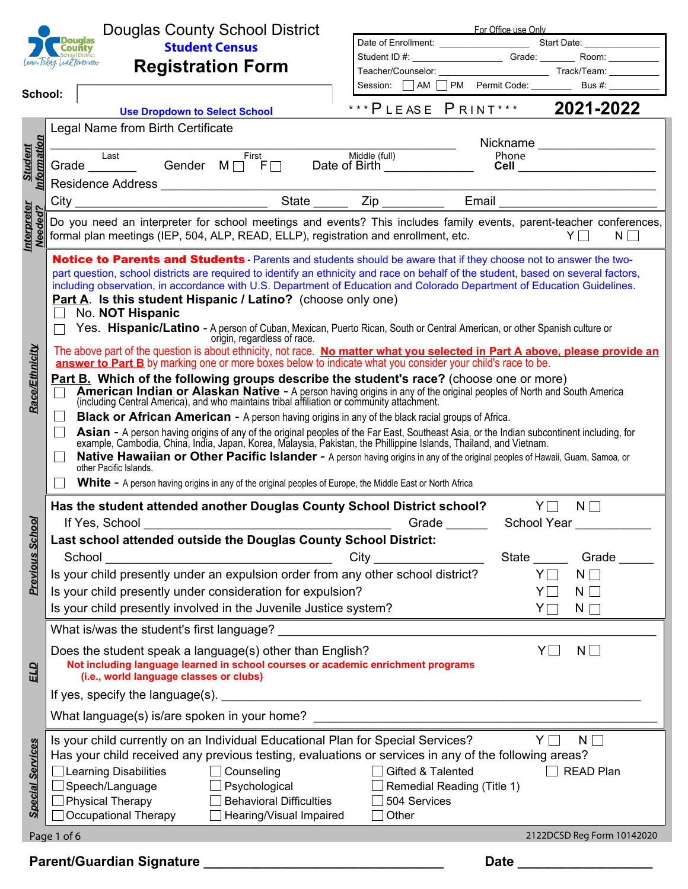|                               |                            | <b>Douglas County School District</b>                                                                                                                                                                                                     |                                                                                                                                                                                                                                | For Office use Only |                                      |  |  |  |  |  |  |
|-------------------------------|----------------------------|-------------------------------------------------------------------------------------------------------------------------------------------------------------------------------------------------------------------------------------------|--------------------------------------------------------------------------------------------------------------------------------------------------------------------------------------------------------------------------------|---------------------|--------------------------------------|--|--|--|--|--|--|
|                               |                            | <b>Douglas</b><br><b>Student Census</b><br>County                                                                                                                                                                                         |                                                                                                                                                                                                                                |                     |                                      |  |  |  |  |  |  |
|                               | Learn Today, Lead Tomorrow | <b>Registration Form</b>                                                                                                                                                                                                                  | Student ID #: \\connect{\bmat{\bmat{\bmat{\bmat{\bmat{\bmat{\bmat{\bmat{\bmat{\bmat{\bmat{\bmat{\bmat{\bmat{\bmat{\bmat{\bmat{\bmat{\bmat{\bmat{\bmat{\bmat{\bmat{\bmat{\bmat{\bmat{\bmat{\bmat{\bmat{\bmat{\bmat{\bmat{\bmat{ |                     |                                      |  |  |  |  |  |  |
|                               |                            |                                                                                                                                                                                                                                           |                                                                                                                                                                                                                                |                     |                                      |  |  |  |  |  |  |
| School:                       |                            | $\blacktriangledown$                                                                                                                                                                                                                      | Session: AM PM Permit Code: ________ Bus #: ________                                                                                                                                                                           |                     |                                      |  |  |  |  |  |  |
|                               |                            | <b>Use Dropdown to Select School</b>                                                                                                                                                                                                      | *** PLEASE PRINT*** 2021-2022                                                                                                                                                                                                  |                     |                                      |  |  |  |  |  |  |
|                               |                            | Legal Name from Birth Certificate                                                                                                                                                                                                         |                                                                                                                                                                                                                                |                     |                                      |  |  |  |  |  |  |
|                               |                            |                                                                                                                                                                                                                                           |                                                                                                                                                                                                                                |                     | Nickname _________________           |  |  |  |  |  |  |
|                               |                            | First<br>Last                                                                                                                                                                                                                             | Middle (full)                                                                                                                                                                                                                  | Phone               |                                      |  |  |  |  |  |  |
| Information<br><b>Student</b> |                            | Last Last First Middle (full)<br>Grade Letting Cender M D F Date of Birth Letting Coracle M Date of Birth Letting Coracle of Birth District Cor                                                                                           |                                                                                                                                                                                                                                |                     | <b>Cell</b> ________________________ |  |  |  |  |  |  |
|                               |                            |                                                                                                                                                                                                                                           |                                                                                                                                                                                                                                |                     |                                      |  |  |  |  |  |  |
|                               |                            |                                                                                                                                                                                                                                           |                                                                                                                                                                                                                                |                     |                                      |  |  |  |  |  |  |
| Interpreter<br>Needed?        |                            | Do you need an interpreter for school meetings and events? This includes family events, parent-teacher conferences,                                                                                                                       |                                                                                                                                                                                                                                |                     |                                      |  |  |  |  |  |  |
|                               |                            | formal plan meetings (IEP, 504, ALP, READ, ELLP), registration and enrollment, etc.                                                                                                                                                       |                                                                                                                                                                                                                                |                     | $Y \Box$<br>$N \Box$                 |  |  |  |  |  |  |
|                               |                            |                                                                                                                                                                                                                                           |                                                                                                                                                                                                                                |                     |                                      |  |  |  |  |  |  |
|                               |                            | Notice to Parents and Students - Parents and students should be aware that if they choose not to answer the two-                                                                                                                          |                                                                                                                                                                                                                                |                     |                                      |  |  |  |  |  |  |
|                               |                            | part question, school districts are required to identify an ethnicity and race on behalf of the student, based on several factors,                                                                                                        |                                                                                                                                                                                                                                |                     |                                      |  |  |  |  |  |  |
|                               |                            | including observation, in accordance with U.S. Department of Education and Colorado Department of Education Guidelines.<br>Part A. Is this student Hispanic / Latino? (choose only one)                                                   |                                                                                                                                                                                                                                |                     |                                      |  |  |  |  |  |  |
|                               |                            | No. NOT Hispanic                                                                                                                                                                                                                          |                                                                                                                                                                                                                                |                     |                                      |  |  |  |  |  |  |
|                               |                            | Yes. Hispanic/Latino - A person of Cuban, Mexican, Puerto Rican, South or Central American, or other Spanish culture or                                                                                                                   |                                                                                                                                                                                                                                |                     |                                      |  |  |  |  |  |  |
|                               |                            | origin, regardless of race.                                                                                                                                                                                                               |                                                                                                                                                                                                                                |                     |                                      |  |  |  |  |  |  |
| <b>Race/Ethnicity</b>         |                            | The above part of the question is about ethnicity, not race. No matter what you selected in Part A above, please provide an<br>answer to Part B by marking one or more boxes below to indicate what you consider your child's race to be. |                                                                                                                                                                                                                                |                     |                                      |  |  |  |  |  |  |
|                               |                            |                                                                                                                                                                                                                                           |                                                                                                                                                                                                                                |                     |                                      |  |  |  |  |  |  |
|                               |                            | Part B. Which of the following groups describe the student's race? (choose one or more)                                                                                                                                                   |                                                                                                                                                                                                                                |                     |                                      |  |  |  |  |  |  |
|                               |                            | American Indian or Alaskan Native - A person having origins in any of the original peoples of North and South America<br>(including Central America), and who maintains tribal affiliation or community attachment.                       |                                                                                                                                                                                                                                |                     |                                      |  |  |  |  |  |  |
|                               | $\Box$                     | <b>Black or African American</b> - A person having origins in any of the black racial groups of Africa.                                                                                                                                   |                                                                                                                                                                                                                                |                     |                                      |  |  |  |  |  |  |
|                               | $\mathbb{R}^n$             | Asian - A person having origins of any of the original peoples of the Far East, Southeast Asia, or the Indian subcontinent including, for example, Cambodia, China, India, Japan, Korea, Malaysia, Pakistan, the Phillippine I            |                                                                                                                                                                                                                                |                     |                                      |  |  |  |  |  |  |
|                               |                            | Native Hawaiian or Other Pacific Islander - A person having origins in any of the original peoples of Hawaii, Guam, Samoa, or                                                                                                             |                                                                                                                                                                                                                                |                     |                                      |  |  |  |  |  |  |
|                               |                            | other Pacific Islands.                                                                                                                                                                                                                    |                                                                                                                                                                                                                                |                     |                                      |  |  |  |  |  |  |
|                               |                            | <b>White -</b> A person having origins in any of the original peoples of Europe, the Middle East or North Africa                                                                                                                          |                                                                                                                                                                                                                                |                     |                                      |  |  |  |  |  |  |
|                               |                            | Has the student attended another Douglas County School District school?                                                                                                                                                                   |                                                                                                                                                                                                                                | $Y\Box$             | $N \Box$                             |  |  |  |  |  |  |
| চ                             |                            | If Yes, School                                                                                                                                                                                                                            | Grade                                                                                                                                                                                                                          | School Year         |                                      |  |  |  |  |  |  |
|                               |                            | Last school attended outside the Douglas County School District:                                                                                                                                                                          |                                                                                                                                                                                                                                |                     |                                      |  |  |  |  |  |  |
| <b>Previous Scho</b>          |                            |                                                                                                                                                                                                                                           |                                                                                                                                                                                                                                |                     |                                      |  |  |  |  |  |  |
|                               |                            | School<br><u> 1980 - Johann Barn, mars eta bainar eta bainar eta baina eta baina eta baina eta baina eta baina eta baina e</u>                                                                                                            | City                                                                                                                                                                                                                           | State               | Grade                                |  |  |  |  |  |  |
|                               |                            | Is your child presently under an expulsion order from any other school district?<br>Is your child presently under consideration for expulsion?                                                                                            |                                                                                                                                                                                                                                | $Y\Box$             | $N \Box$                             |  |  |  |  |  |  |
|                               |                            | $N \Box$<br>YII                                                                                                                                                                                                                           |                                                                                                                                                                                                                                |                     |                                      |  |  |  |  |  |  |
|                               |                            | Is your child presently involved in the Juvenile Justice system?                                                                                                                                                                          | $Y\Box$                                                                                                                                                                                                                        | $N \Box$            |                                      |  |  |  |  |  |  |
|                               |                            |                                                                                                                                                                                                                                           |                                                                                                                                                                                                                                |                     |                                      |  |  |  |  |  |  |
|                               |                            |                                                                                                                                                                                                                                           |                                                                                                                                                                                                                                | Y[                  | $N \Box$<br>$\blacksquare$           |  |  |  |  |  |  |
|                               |                            | Does the student speak a language(s) other than English?<br>Not including language learned in school courses or academic enrichment programs                                                                                              |                                                                                                                                                                                                                                |                     |                                      |  |  |  |  |  |  |
| ELD                           |                            | (i.e., world language classes or clubs)                                                                                                                                                                                                   |                                                                                                                                                                                                                                |                     |                                      |  |  |  |  |  |  |
|                               |                            |                                                                                                                                                                                                                                           |                                                                                                                                                                                                                                |                     |                                      |  |  |  |  |  |  |
|                               |                            |                                                                                                                                                                                                                                           |                                                                                                                                                                                                                                |                     |                                      |  |  |  |  |  |  |
|                               |                            | What language(s) is/are spoken in your home? ___________________________________                                                                                                                                                          |                                                                                                                                                                                                                                |                     |                                      |  |  |  |  |  |  |
|                               |                            | Is your child currently on an Individual Educational Plan for Special Services?                                                                                                                                                           |                                                                                                                                                                                                                                | $Y \Box$            | $N \Box$                             |  |  |  |  |  |  |
|                               |                            | Has your child received any previous testing, evaluations or services in any of the following areas?                                                                                                                                      |                                                                                                                                                                                                                                |                     |                                      |  |  |  |  |  |  |
|                               |                            | $\Box$ Learning Disabilities<br>$\Box$ Counseling                                                                                                                                                                                         | Gifted & Talented                                                                                                                                                                                                              |                     | <b>READ Plan</b>                     |  |  |  |  |  |  |
|                               |                            | Speech/Language<br>$\Box$ Psychological                                                                                                                                                                                                   | Remedial Reading (Title 1)                                                                                                                                                                                                     |                     |                                      |  |  |  |  |  |  |
| <b>Special Services</b>       |                            | Physical Therapy<br><b>Behavioral Difficulties</b>                                                                                                                                                                                        | 504 Services                                                                                                                                                                                                                   |                     |                                      |  |  |  |  |  |  |
|                               |                            | Occupational Therapy<br>Hearing/Visual Impaired                                                                                                                                                                                           | Other<br>$\Box$                                                                                                                                                                                                                |                     |                                      |  |  |  |  |  |  |
|                               | Page 1 of 6                |                                                                                                                                                                                                                                           |                                                                                                                                                                                                                                |                     | 2122DCSD Reg Form 10142020           |  |  |  |  |  |  |
|                               |                            |                                                                                                                                                                                                                                           |                                                                                                                                                                                                                                |                     |                                      |  |  |  |  |  |  |
|                               |                            | Parent/Guardian Signature ___                                                                                                                                                                                                             |                                                                                                                                                                                                                                | <b>Date</b>         |                                      |  |  |  |  |  |  |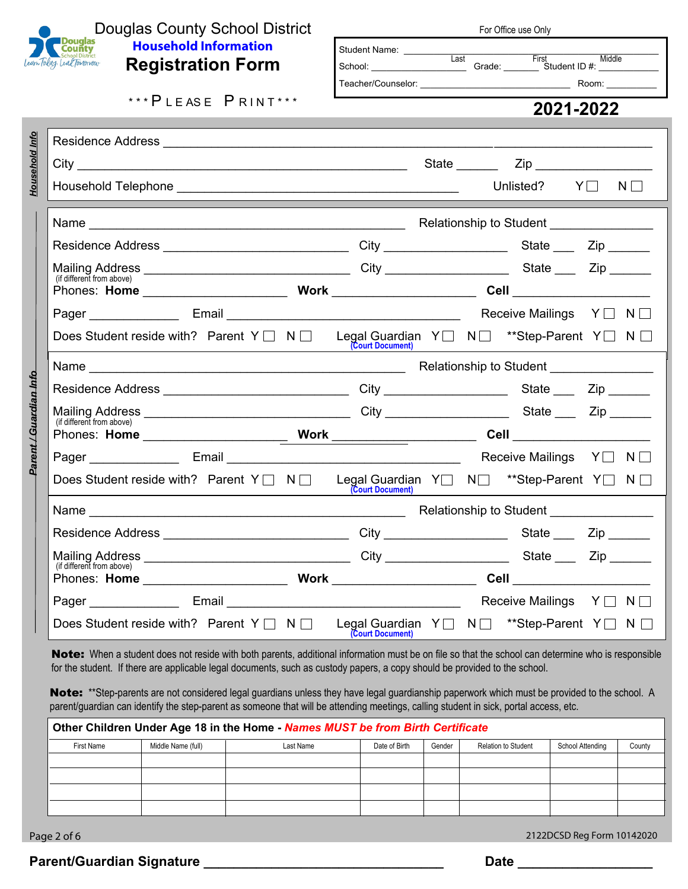

*Household Info*

Household Info

*Parent / Guardian Info*

Parent / Guardian Info

## Douglas County School District<br>County Household Information **Household Information Registration Form**

 $***$  PLEASE PRINT\*\*\*

Residence Address \_\_\_\_\_\_\_\_\_\_\_\_\_\_\_\_\_\_\_\_\_\_\_\_\_\_\_\_\_\_\_\_\_\_\_\_\_\_\_\_\_\_\_\_\_\_\_\_\_\_\_\_\_\_\_\_\_\_\_\_\_\_\_\_\_\_\_\_\_\_\_

| For Office use Only                                   |       |                                                  |  |  |
|-------------------------------------------------------|-------|--------------------------------------------------|--|--|
| <b>Student Name:</b><br>School:<br>Teacher/Counselor: | Last  | First<br>Middle<br>Grade: Student ID #:<br>Room: |  |  |
|                                                       |       | 2021-2022                                        |  |  |
|                                                       |       |                                                  |  |  |
|                                                       | State | Zip                                              |  |  |

| $City_$<br><u> 1989 - Johann Barn, fransk politik (f. 1989)</u>                                                              |  |                                                                          | State <u>_________</u> |                                                              |                     |          |
|------------------------------------------------------------------------------------------------------------------------------|--|--------------------------------------------------------------------------|------------------------|--------------------------------------------------------------|---------------------|----------|
|                                                                                                                              |  |                                                                          |                        | Unlisted? $Y\Box$<br><u> Tanzania (h. 1888).</u><br>Naskiĝoj |                     | $N \Box$ |
|                                                                                                                              |  |                                                                          |                        |                                                              |                     |          |
| Residence Address _________________________________                                                                          |  |                                                                          |                        |                                                              | State ___ Zip _____ |          |
| (if different from above)                                                                                                    |  |                                                                          |                        |                                                              |                     |          |
|                                                                                                                              |  |                                                                          |                        |                                                              |                     |          |
|                                                                                                                              |  |                                                                          |                        | Receive Mailings Y□ N□                                       |                     |          |
| Does Student reside with? Parent $Y \Box \neg N \Box$ Legal Guardian $Y \Box \neg N \Box$ **Step-Parent $Y \Box \neg N \Box$ |  | (Court Document)                                                         |                        |                                                              |                     |          |
|                                                                                                                              |  |                                                                          |                        |                                                              |                     |          |
| Residence Address ________________________________                                                                           |  |                                                                          |                        |                                                              |                     |          |
| (if different from above)                                                                                                    |  |                                                                          |                        |                                                              |                     |          |
|                                                                                                                              |  |                                                                          |                        |                                                              |                     |          |
|                                                                                                                              |  |                                                                          |                        |                                                              |                     |          |
|                                                                                                                              |  | (Court Document)                                                         |                        | <u> 1980 - John Stein, Amerikaansk politiker (* 1901)</u>    |                     |          |
|                                                                                                                              |  |                                                                          |                        |                                                              |                     |          |
| Residence Address _________________________________City ________________________State ______Zip _______                      |  |                                                                          |                        |                                                              |                     |          |
|                                                                                                                              |  |                                                                          |                        |                                                              |                     |          |
| (if different from above)                                                                                                    |  |                                                                          |                        |                                                              |                     |          |
|                                                                                                                              |  |                                                                          |                        |                                                              |                     |          |
| Does Student reside with? Parent $Y \cap N$                                                                                  |  | Legal Guardian Y N N <sup>**</sup> Step-Parent Y N N<br>(Court Document) |                        |                                                              |                     |          |

Note: When a student does not reside with both parents, additional information must be on file so that the school can determine who is responsible for the student. If there are applicable legal documents, such as custody papers, a copy should be provided to the school.

Note: \*\*Step-parents are not considered legal guardians unless they have legal guardianship paperwork which must be provided to the school. A parent/guardian can identify the step-parent as someone that will be attending meetings, calling student in sick, portal access, etc.

| Other Children Under Age 18 in the Home - Names MUST be from Birth Certificate |                    |           |               |        |                            |                  |        |  |
|--------------------------------------------------------------------------------|--------------------|-----------|---------------|--------|----------------------------|------------------|--------|--|
| First Name                                                                     | Middle Name (full) | Last Name | Date of Birth | Gender | <b>Relation to Student</b> | School Attending | County |  |
|                                                                                |                    |           |               |        |                            |                  |        |  |
|                                                                                |                    |           |               |        |                            |                  |        |  |
|                                                                                |                    |           |               |        |                            |                  |        |  |
|                                                                                |                    |           |               |        |                            |                  |        |  |

Page 2 of 6 2122DCSD Reg Form 10142020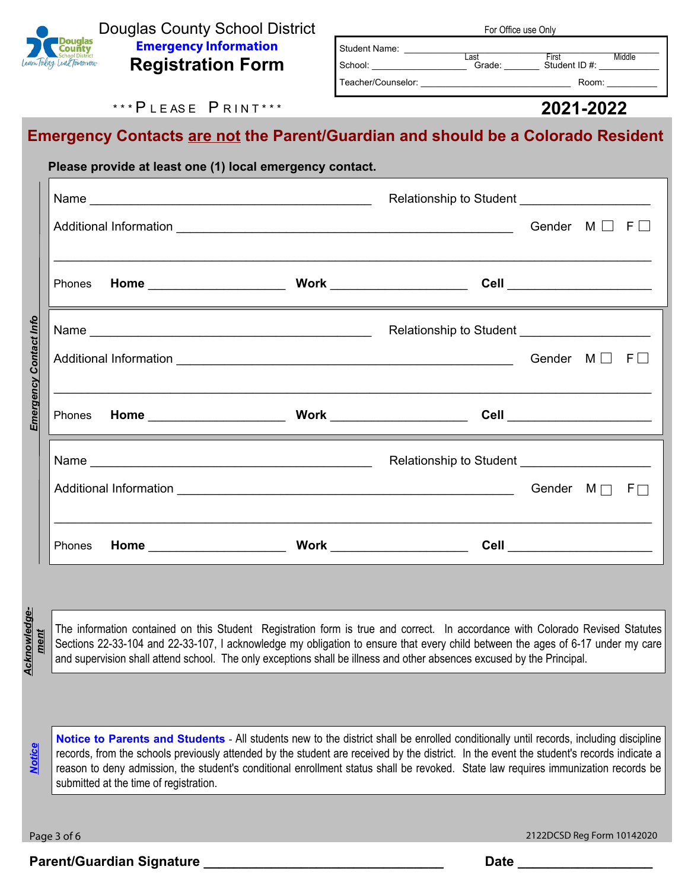

Douglas County School District **Emergency Information Registration Form**

| <b>I VI VIIIVE USE VIIIV</b> |                               |        |  |  |
|------------------------------|-------------------------------|--------|--|--|
|                              |                               |        |  |  |
| Last<br>Grade:               | <b>First</b><br>Student ID #: | Middle |  |  |
|                              |                               |        |  |  |
|                              |                               | Room:  |  |  |

For Office use Only

#### \*\*\* P I F AS F P RIN T \*\*\*

#### **2021-2022**

# **Emergency Contacts are not the Parent/Guardian and should be a Colorado Resident**

|      | Please provide at least one (1) local emergency contact.                                                                                                                                                                                                                                                                                                                                                                                                                                                            |  |  |
|------|---------------------------------------------------------------------------------------------------------------------------------------------------------------------------------------------------------------------------------------------------------------------------------------------------------------------------------------------------------------------------------------------------------------------------------------------------------------------------------------------------------------------|--|--|
|      |                                                                                                                                                                                                                                                                                                                                                                                                                                                                                                                     |  |  |
|      |                                                                                                                                                                                                                                                                                                                                                                                                                                                                                                                     |  |  |
|      | ,我们也不能会在这里的时候,我们也不能会在这里,我们也不能会在这里,我们也不能会在这里,我们也不能会在这里,我们也不能会在这里,我们也不能会不能会不能会。""我们<br><u> 1989 - Johann Stoff, deutscher Stoffen und der Stoffen und der Stoffen und der Stoffen und der Stoffen und de</u>                                                                                                                                                                                                                                                                                                          |  |  |
|      |                                                                                                                                                                                                                                                                                                                                                                                                                                                                                                                     |  |  |
|      |                                                                                                                                                                                                                                                                                                                                                                                                                                                                                                                     |  |  |
|      | <u> 1989 - Jan Samuel Barbara, margaret a shekara 1989 - Shekara ta 1989 - Shekara ta 1989 - Shekara ta 1980 - Sh</u>                                                                                                                                                                                                                                                                                                                                                                                               |  |  |
|      |                                                                                                                                                                                                                                                                                                                                                                                                                                                                                                                     |  |  |
|      |                                                                                                                                                                                                                                                                                                                                                                                                                                                                                                                     |  |  |
|      | <u> 1989 - Andrea Santa Andrea Santa Andrea Santa Andrea Santa Andrea Santa Andrea Santa Andrea Santa Andrea Santa And</u>                                                                                                                                                                                                                                                                                                                                                                                          |  |  |
|      |                                                                                                                                                                                                                                                                                                                                                                                                                                                                                                                     |  |  |
| ment | <u> 1989 - Johann Stoff, deutscher Stoffen und der Stoffen und der Stoffen und der Stoffen und der Stoffen und de</u><br>The information contained on this Student Registration form is true and correct. In accordance with Colorado Revised Statutes<br>Sections 22-33-104 and 22-33-107, I acknowledge my obligation to ensure that every child between the ages of 6-17 under my care<br>and supervision shall attend school. The only exceptions shall be illness and other absences excused by the Principal. |  |  |
|      |                                                                                                                                                                                                                                                                                                                                                                                                                                                                                                                     |  |  |
|      | Notice to Parents and Students - All students new to the district shall be enrolled conditionally until records, including discipline<br>records, from the schools previously attended by the student are received by the district. In the event the student's records indicate a<br>reason to deny admission, the student's conditional enrollment status shall be revoked. State law requires immunization records be                                                                                             |  |  |

**Notice to Parents and Students** - All students new to the district shall be enrolled conditionally until records, including discipline records, from the schools previously attended by the student are received by the district. In the event the student's records indicate a reason to deny admission, the student's conditional enrollment status shall be revoked. State law requires immunization records be submitted at the time of registration.

Page 3 of 6 2122DCSD Reg Form 10142020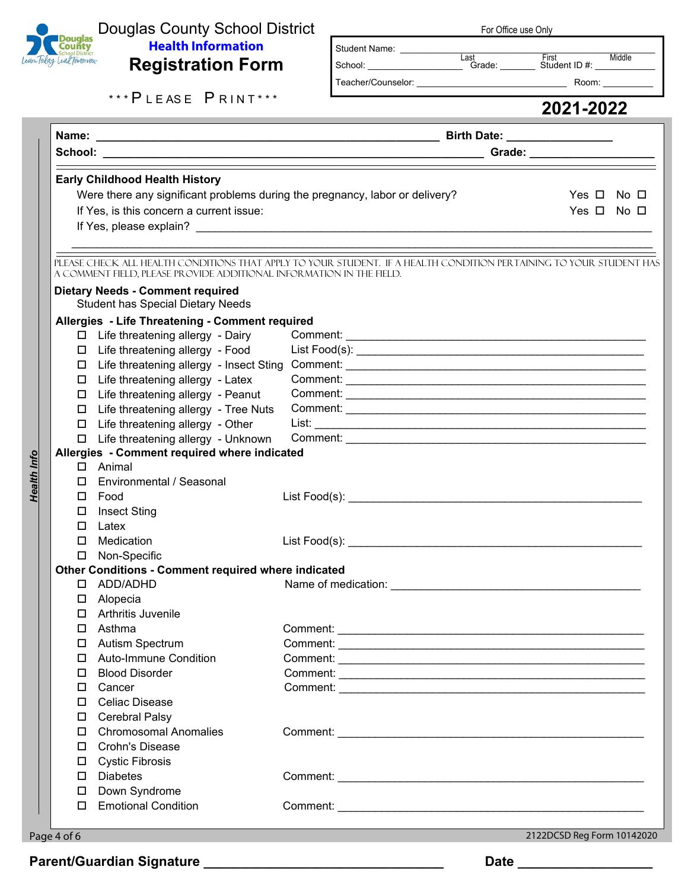

Health Info

### Douglas County School District **Health Information Registration Form**

| For Office use Only |
|---------------------|
|---------------------|

Last First Middle<br>
School: Grade: Student ID #: Student Name: \_\_\_\_\_\_\_\_\_\_\_\_\_\_\_\_\_\_\_\_\_\_\_\_\_\_\_\_\_\_\_\_\_\_\_\_\_\_\_\_\_\_\_\_\_\_\_\_\_\_\_

Teacher/Counselor: example and the set of the Room:

\*\*\* P L E A S E P R I N T \*\*\*

|                                              |                                                                              | a sa kacamatan ing Kabupatèn Kabupatèn Kabupatèn Kabupatèn Kabupatèn Kabupatèn Kabupatèn Kabupatèn Kabupatèn K      |                      |  |  |  |
|----------------------------------------------|------------------------------------------------------------------------------|---------------------------------------------------------------------------------------------------------------------|----------------------|--|--|--|
|                                              |                                                                              |                                                                                                                     |                      |  |  |  |
|                                              |                                                                              |                                                                                                                     |                      |  |  |  |
|                                              | <b>Early Childhood Health History</b>                                        |                                                                                                                     |                      |  |  |  |
|                                              | Were there any significant problems during the pregnancy, labor or delivery? |                                                                                                                     | Yes $\Box$ No $\Box$ |  |  |  |
|                                              | If Yes, is this concern a current issue:                                     |                                                                                                                     | Yes $\Box$ No $\Box$ |  |  |  |
|                                              |                                                                              |                                                                                                                     |                      |  |  |  |
|                                              |                                                                              |                                                                                                                     |                      |  |  |  |
|                                              | A COMMENT FIELD, PLEASE PROVIDE ADDITIONAL INFORMATION IN THE FIELD.         | PLEASE CHECK ALL HEALTH CONDITIONS THAT APPLY TO YOUR STUDENT. IF A HEALTH CONDITION PERTAINING TO YOUR STUDENT HAS |                      |  |  |  |
|                                              | <b>Dietary Needs - Comment required</b>                                      |                                                                                                                     |                      |  |  |  |
|                                              | <b>Student has Special Dietary Needs</b>                                     |                                                                                                                     |                      |  |  |  |
|                                              | Allergies - Life Threatening - Comment required                              |                                                                                                                     |                      |  |  |  |
|                                              | □ Life threatening allergy - Dairy                                           |                                                                                                                     |                      |  |  |  |
|                                              | □ Life threatening allergy - Food                                            |                                                                                                                     |                      |  |  |  |
| □                                            | Life threatening allergy - Insect Sting                                      |                                                                                                                     |                      |  |  |  |
| $\Box$                                       | Life threatening allergy - Latex                                             |                                                                                                                     |                      |  |  |  |
|                                              | □ Life threatening allergy - Peanut                                          |                                                                                                                     |                      |  |  |  |
| □                                            | Life threatening allergy - Tree Nuts                                         |                                                                                                                     |                      |  |  |  |
|                                              | Life threatening allergy - Other                                             |                                                                                                                     |                      |  |  |  |
|                                              | Life threatening allergy - Unknown                                           |                                                                                                                     |                      |  |  |  |
| Allergies - Comment required where indicated |                                                                              |                                                                                                                     |                      |  |  |  |
|                                              | $\Box$ Animal                                                                |                                                                                                                     |                      |  |  |  |
|                                              | Environmental / Seasonal                                                     |                                                                                                                     |                      |  |  |  |
| 0.                                           | Food                                                                         |                                                                                                                     |                      |  |  |  |
| □                                            | <b>Insect Sting</b>                                                          |                                                                                                                     |                      |  |  |  |
| $\Box$                                       | Latex                                                                        |                                                                                                                     |                      |  |  |  |
| $\Box$                                       | Medication                                                                   |                                                                                                                     |                      |  |  |  |
|                                              | □ Non-Specific                                                               |                                                                                                                     |                      |  |  |  |
|                                              | <b>Other Conditions - Comment required where indicated</b>                   |                                                                                                                     |                      |  |  |  |
|                                              | ADD/ADHD                                                                     |                                                                                                                     |                      |  |  |  |
|                                              | $\Box$ Alopecia                                                              |                                                                                                                     |                      |  |  |  |
| □                                            | Arthritis Juvenile                                                           |                                                                                                                     |                      |  |  |  |
| $\Box$                                       | Asthma                                                                       |                                                                                                                     |                      |  |  |  |
|                                              | □ Autism Spectrum                                                            |                                                                                                                     |                      |  |  |  |
|                                              | <b>Auto-Immune Condition</b>                                                 |                                                                                                                     |                      |  |  |  |
| П.                                           | <b>Blood Disorder</b>                                                        |                                                                                                                     |                      |  |  |  |
| 0                                            | Cancer                                                                       |                                                                                                                     |                      |  |  |  |
| $\Box$                                       | <b>Celiac Disease</b>                                                        |                                                                                                                     |                      |  |  |  |
| $\Box$                                       | Cerebral Palsy                                                               |                                                                                                                     |                      |  |  |  |
| □                                            | <b>Chromosomal Anomalies</b>                                                 |                                                                                                                     |                      |  |  |  |
| □                                            | <b>Crohn's Disease</b>                                                       |                                                                                                                     |                      |  |  |  |
| $\Box$                                       | <b>Cystic Fibrosis</b>                                                       |                                                                                                                     |                      |  |  |  |
| П.                                           | <b>Diabetes</b>                                                              |                                                                                                                     |                      |  |  |  |
| $\Box$                                       | Down Syndrome                                                                |                                                                                                                     |                      |  |  |  |
| 0                                            | <b>Emotional Condition</b>                                                   |                                                                                                                     |                      |  |  |  |
|                                              |                                                                              |                                                                                                                     |                      |  |  |  |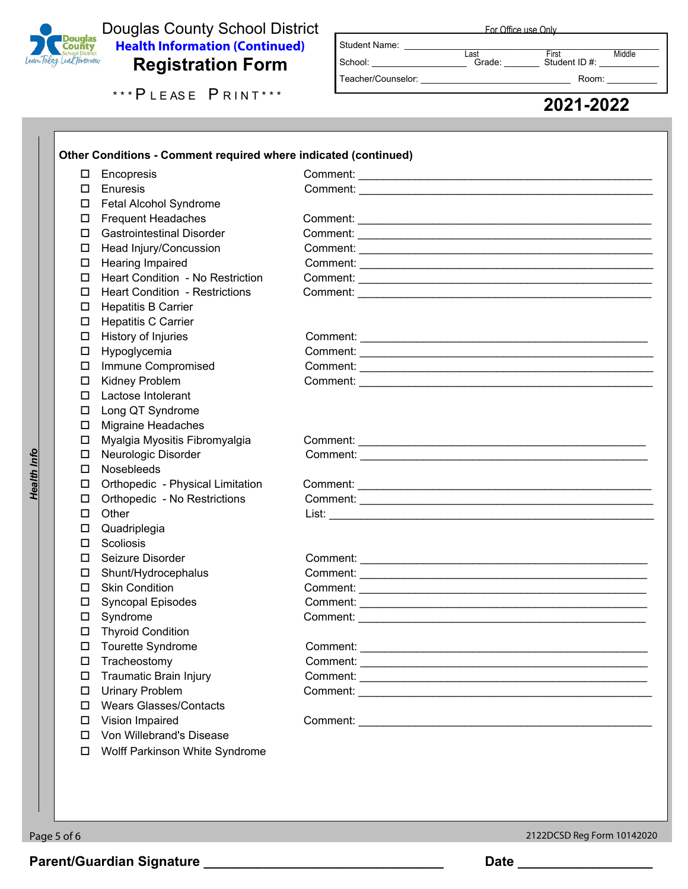

# Douglas County School District<br>
Lear Tolday Lear (Exemplo District Registration (Continued)<br>
Registration Form **Health Information (Continued) Registration Form**

| Registration Form   | ------<br>-------<br>Teacher/Counselor: | Room:     |
|---------------------|-----------------------------------------|-----------|
| *** PLEASE PRINT*** |                                         |           |
|                     |                                         | 2021-2022 |

For Office use Only

Last First Middle<br>
School: Canade: Constant ID #: Widdle Student Name: \_\_\_\_\_\_\_\_\_\_\_\_\_\_\_\_\_\_\_\_\_\_\_\_\_\_\_\_\_\_\_\_\_\_\_\_\_\_\_\_\_\_\_\_\_\_\_\_\_\_\_ Teacher/Counselor: \_\_\_\_\_\_\_\_\_\_\_\_\_\_\_\_\_\_\_\_\_\_\_\_\_\_\_\_\_\_ Room: \_\_\_\_\_\_\_\_\_\_

| $\Box$ | Encopresis                              |                                                                                                                                                                                                                                      |  |
|--------|-----------------------------------------|--------------------------------------------------------------------------------------------------------------------------------------------------------------------------------------------------------------------------------------|--|
| $\Box$ | Enuresis                                |                                                                                                                                                                                                                                      |  |
| $\Box$ | Fetal Alcohol Syndrome                  |                                                                                                                                                                                                                                      |  |
| $\Box$ | <b>Frequent Headaches</b>               |                                                                                                                                                                                                                                      |  |
| $\Box$ | <b>Gastrointestinal Disorder</b>        | Comment: <u>Comment Comment Comments of Comments Comments of Comments Comments of Comments Comments Comments of Comments Comments Comments Comments Comments Comments Comments Comments Comments Comments Comments Comments Comm</u> |  |
| □      | Head Injury/Concussion                  |                                                                                                                                                                                                                                      |  |
| $\Box$ | Hearing Impaired                        |                                                                                                                                                                                                                                      |  |
| □      | <b>Heart Condition - No Restriction</b> |                                                                                                                                                                                                                                      |  |
| $\Box$ | <b>Heart Condition - Restrictions</b>   |                                                                                                                                                                                                                                      |  |
| □      | <b>Hepatitis B Carrier</b>              |                                                                                                                                                                                                                                      |  |
| $\Box$ | <b>Hepatitis C Carrier</b>              |                                                                                                                                                                                                                                      |  |
| $\Box$ | History of Injuries                     |                                                                                                                                                                                                                                      |  |
| $\Box$ | Hypoglycemia                            |                                                                                                                                                                                                                                      |  |
| □      | Immune Compromised                      |                                                                                                                                                                                                                                      |  |
| $\Box$ | Kidney Problem                          |                                                                                                                                                                                                                                      |  |
| $\Box$ | Lactose Intolerant                      |                                                                                                                                                                                                                                      |  |
| 0      | Long QT Syndrome                        |                                                                                                                                                                                                                                      |  |
| □      | <b>Migraine Headaches</b>               |                                                                                                                                                                                                                                      |  |
| $\Box$ | Myalgia Myositis Fibromyalgia           |                                                                                                                                                                                                                                      |  |
| $\Box$ | Neurologic Disorder                     |                                                                                                                                                                                                                                      |  |
| $\Box$ | Nosebleeds                              |                                                                                                                                                                                                                                      |  |
| $\Box$ | Orthopedic - Physical Limitation        |                                                                                                                                                                                                                                      |  |
| □      | Orthopedic - No Restrictions            |                                                                                                                                                                                                                                      |  |
| $\Box$ | Other                                   |                                                                                                                                                                                                                                      |  |
| □      | Quadriplegia                            |                                                                                                                                                                                                                                      |  |
| $\Box$ | Scoliosis                               |                                                                                                                                                                                                                                      |  |
| П      | Seizure Disorder                        |                                                                                                                                                                                                                                      |  |
| □      | Shunt/Hydrocephalus                     |                                                                                                                                                                                                                                      |  |
| □      | <b>Skin Condition</b>                   |                                                                                                                                                                                                                                      |  |
| □      | Syncopal Episodes                       |                                                                                                                                                                                                                                      |  |
| $\Box$ | Syndrome                                |                                                                                                                                                                                                                                      |  |
| $\Box$ | <b>Thyroid Condition</b>                |                                                                                                                                                                                                                                      |  |
| $\Box$ | Tourette Syndrome                       |                                                                                                                                                                                                                                      |  |
| □      | Tracheostomy                            |                                                                                                                                                                                                                                      |  |
| $\Box$ | <b>Traumatic Brain Injury</b>           |                                                                                                                                                                                                                                      |  |
| $\Box$ | <b>Urinary Problem</b>                  |                                                                                                                                                                                                                                      |  |
| $\Box$ | <b>Wears Glasses/Contacts</b>           |                                                                                                                                                                                                                                      |  |
| $\Box$ | Vision Impaired                         |                                                                                                                                                                                                                                      |  |
| □      | Von Willebrand's Disease                |                                                                                                                                                                                                                                      |  |
|        |                                         |                                                                                                                                                                                                                                      |  |
| $\Box$ | Wolff Parkinson White Syndrome          |                                                                                                                                                                                                                                      |  |

**Health Info** *Health Info*

Page 5 of 6 2122DCSD Reg Form 10142020